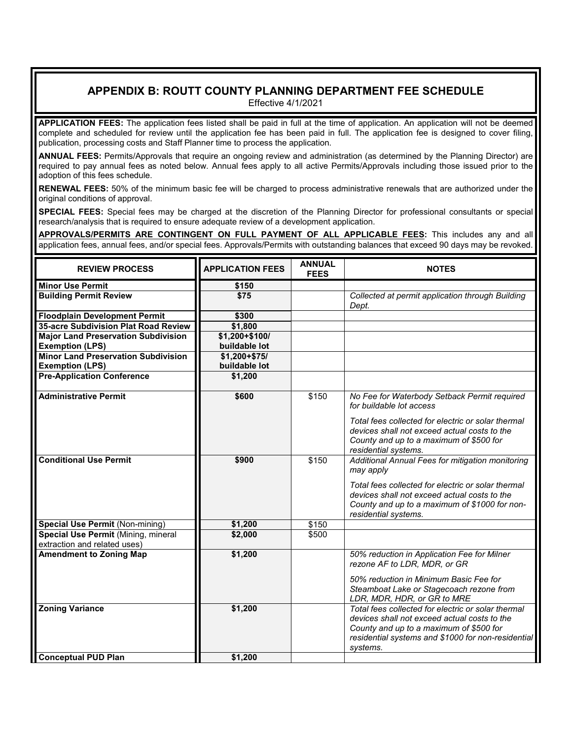## **APPENDIX B: ROUTT COUNTY PLANNING DEPARTMENT FEE SCHEDULE**

Effective 4/1/2021

**APPLICATION FEES:** The application fees listed shall be paid in full at the time of application. An application will not be deemed complete and scheduled for review until the application fee has been paid in full. The application fee is designed to cover filing, publication, processing costs and Staff Planner time to process the application.

**ANNUAL FEES:** Permits/Approvals that require an ongoing review and administration (as determined by the Planning Director) are required to pay annual fees as noted below. Annual fees apply to all active Permits/Approvals including those issued prior to the adoption of this fees schedule.

**RENEWAL FEES:** 50% of the minimum basic fee will be charged to process administrative renewals that are authorized under the original conditions of approval.

**SPECIAL FEES:** Special fees may be charged at the discretion of the Planning Director for professional consultants or special research/analysis that is required to ensure adequate review of a development application.

**APPROVALS/PERMITS ARE CONTINGENT ON FULL PAYMENT OF ALL APPLICABLE FEES:** This includes any and all application fees, annual fees, and/or special fees. Approvals/Permits with outstanding balances that exceed 90 days may be revoked.

| <b>REVIEW PROCESS</b>                                               | <b>APPLICATION FEES</b> | <b>ANNUAL</b><br><b>FEES</b> | <b>NOTES</b>                                                                                                                                                                                                    |
|---------------------------------------------------------------------|-------------------------|------------------------------|-----------------------------------------------------------------------------------------------------------------------------------------------------------------------------------------------------------------|
| <b>Minor Use Permit</b>                                             | \$150                   |                              |                                                                                                                                                                                                                 |
| <b>Building Permit Review</b>                                       | $\overline{$}$ \$75     |                              | Collected at permit application through Building<br>Dept.                                                                                                                                                       |
| <b>Floodplain Development Permit</b>                                | \$300                   |                              |                                                                                                                                                                                                                 |
| 35-acre Subdivision Plat Road Review                                | \$1,800                 |                              |                                                                                                                                                                                                                 |
| <b>Major Land Preservation Subdivision</b>                          | \$1,200+\$100/          |                              |                                                                                                                                                                                                                 |
| <b>Exemption (LPS)</b>                                              | buildable lot           |                              |                                                                                                                                                                                                                 |
| <b>Minor Land Preservation Subdivision</b>                          | $$1,200 + $75/$         |                              |                                                                                                                                                                                                                 |
| <b>Exemption (LPS)</b>                                              | buildable lot           |                              |                                                                                                                                                                                                                 |
| <b>Pre-Application Conference</b>                                   | \$1,200                 |                              |                                                                                                                                                                                                                 |
| <b>Administrative Permit</b>                                        | \$600                   | \$150                        | No Fee for Waterbody Setback Permit required<br>for buildable lot access                                                                                                                                        |
|                                                                     |                         |                              | Total fees collected for electric or solar thermal<br>devices shall not exceed actual costs to the<br>County and up to a maximum of \$500 for<br>residential systems.                                           |
| <b>Conditional Use Permit</b>                                       | \$900                   | \$150                        | Additional Annual Fees for mitigation monitoring<br>may apply                                                                                                                                                   |
|                                                                     |                         |                              | Total fees collected for electric or solar thermal<br>devices shall not exceed actual costs to the<br>County and up to a maximum of \$1000 for non-<br>residential systems.                                     |
| <b>Special Use Permit (Non-mining)</b>                              | \$1,200                 | \$150                        |                                                                                                                                                                                                                 |
| Special Use Permit (Mining, mineral<br>extraction and related uses) | \$2,000                 | \$500                        |                                                                                                                                                                                                                 |
| <b>Amendment to Zoning Map</b>                                      | \$1,200                 |                              | 50% reduction in Application Fee for Milner<br>rezone AF to LDR, MDR, or GR<br>50% reduction in Minimum Basic Fee for                                                                                           |
|                                                                     |                         |                              | Steamboat Lake or Stagecoach rezone from<br>LDR, MDR, HDR, or GR to MRE                                                                                                                                         |
| <b>Zoning Variance</b>                                              | \$1,200                 |                              | Total fees collected for electric or solar thermal<br>devices shall not exceed actual costs to the<br>County and up to a maximum of \$500 for<br>residential systems and \$1000 for non-residential<br>systems. |
| <b>Conceptual PUD Plan</b>                                          | \$1,200                 |                              |                                                                                                                                                                                                                 |